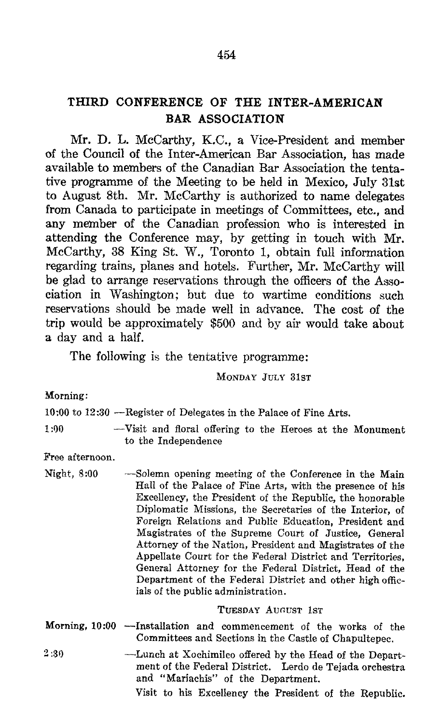## THIRD CONFERENCE OF THE INTER-AMERICAN BAR ASSOCIATION

Mr. D. L. McCarthy, K.C., <sup>a</sup> Vice-President and member of the Council of the Inter-American Bar Association, has made available to members of the Canadian Bar Association the tenta tive programme of the Meeting to be held in Mexico, July 31st to August 8th. Mr. McCarthy is authorized to name delegates from Canada to participate in meetings of Committees, etc., and any member of the Canadian profession who is interested in attending the Conference may, by getting in touch with Mr. McCarthy, <sup>38</sup> King St. W., Toronto 1, obtain full information regarding trains, planes and hotels. Further, Mr. McCarthy will be glad to arrange reservations through the officers of the Association in Washington; but due to wartime conditions such reservations should be made well in advance. The cost of the trip would be approximately \$500 and by air would take about <sup>a</sup> day and a half.

The following is the tentative programme:

MONDAY JULY 31ST

Morning :

10 :00 to 12 :30 -Register of Delegates in the Palace of Fine Arts.

1:00 -Visit and floral offering to the Heroes at the Monument to the Independence

Free afternoon.

Night, 8:00 -Solemn opening meeting of the Conference in the Main Hall of the Palace of Fine Arts, with the presence of his Excellency, the President of the Republic, the honorable Diplomatic Missions, the Secretaries of the Interior, of Foreign Relations and Public Education, President and Magistrates of the Supreme Court of Justice, General Attorney of the Nation, President and Magistrates of the Appellate Court for the Federal District and Territories, General Attorney for the Federal District, Head of the Department of the Federal District and other high officials of the public administration.

## TUESDAY AUGUST 1sT

- Morning, <sup>10</sup> :00 -Installation and commencement of the works of the Committees and Sections in the Castle of Chapultepec.
- <sup>2</sup> :30 -Lunch at Xochimilco offered by the Head of the Depart ment of the Federal District. Lerdo de Tejada orchestra and "Mariachis" of the Department.

Visit to his Excellency the President of the Republic.